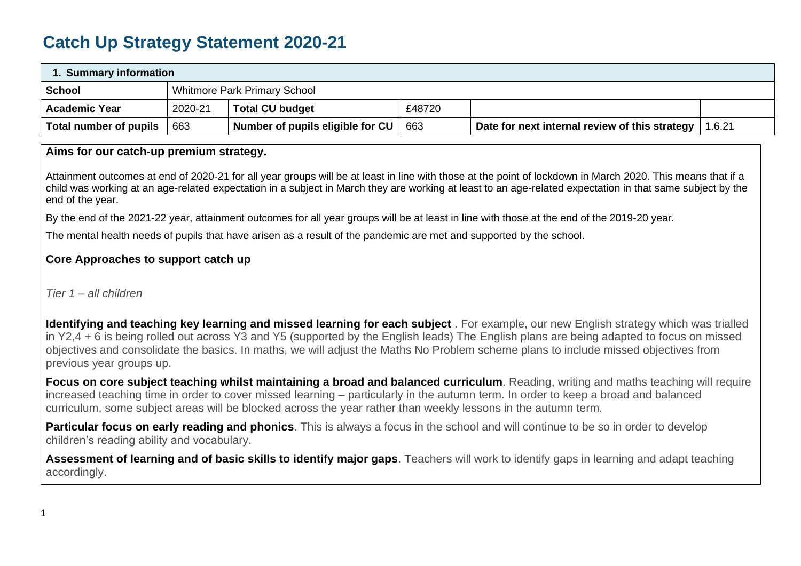# **Catch Up Strategy Statement 2020-21**

| 1. Summary information |         |                                     |        |                                                |        |  |
|------------------------|---------|-------------------------------------|--------|------------------------------------------------|--------|--|
| <b>School</b>          |         | <b>Whitmore Park Primary School</b> |        |                                                |        |  |
| <b>Academic Year</b>   | 2020-21 | <b>Total CU budget</b>              | £48720 |                                                |        |  |
| Total number of pupils | 663     | Number of pupils eligible for CU    | 663    | Date for next internal review of this strategy | 1.6.21 |  |

#### **Aims for our catch-up premium strategy.**

• Attainment outcomes at end of 2020-21 for all year groups will be at least in line with those at the point of lockdown in March 2020. This means that if a child was working at an age-related expectation in a subject in March they are working at least to an age-related expectation in that same subject by the end of the year.

• By the end of the 2021-22 year, attainment outcomes for all year groups will be at least in line with those at the end of the 2019-20 year.

The mental health needs of pupils that have arisen as a result of the pandemic are met and supported by the school.

# **Core Approaches to support catch up**

## *Tier 1 – all children*

• **Identifying and teaching key learning and missed learning for each subject** . For example, our new English strategy which was trialled in Y2,4 + 6 is being rolled out across Y3 and Y5 (supported by the English leads) The English plans are being adapted to focus on missed objectives and consolidate the basics. In maths, we will adjust the Maths No Problem scheme plans to include missed objectives from previous year groups up.

• **Focus on core subject teaching whilst maintaining a broad and balanced curriculum**. Reading, writing and maths teaching will require increased teaching time in order to cover missed learning – particularly in the autumn term. In order to keep a broad and balanced curriculum, some subject areas will be blocked across the year rather than weekly lessons in the autumn term.

**Particular focus on early reading and phonics**. This is always a focus in the school and will continue to be so in order to develop children's reading ability and vocabulary.

• **Assessment of learning and of basic skills to identify major gaps**. Teachers will work to identify gaps in learning and adapt teaching accordingly.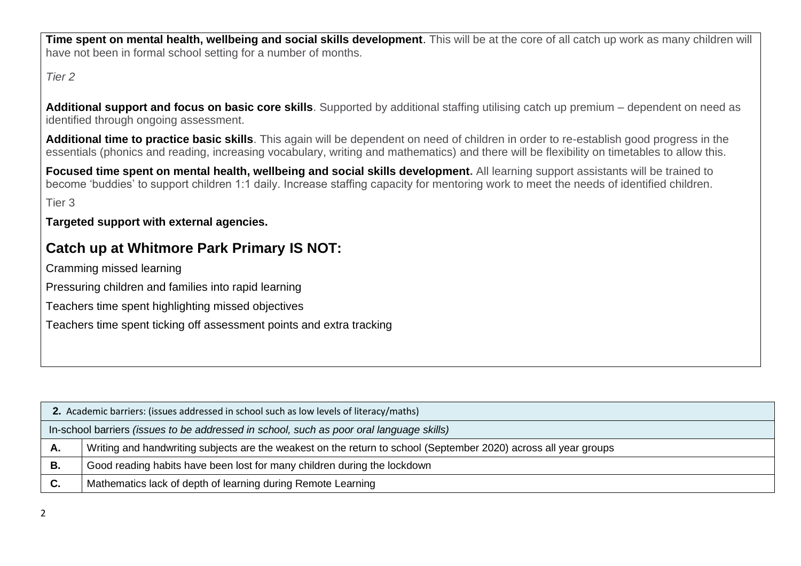• **Time spent on mental health, wellbeing and social skills development**. This will be at the core of all catch up work as many children will have not been in formal school setting for a number of months.

*Tier 2*

• **Additional support and focus on basic core skills**. Supported by additional staffing utilising catch up premium – dependent on need as identified through ongoing assessment.

• **Additional time to practice basic skills**. This again will be dependent on need of children in order to re-establish good progress in the essentials (phonics and reading, increasing vocabulary, writing and mathematics) and there will be flexibility on timetables to allow this.

• **Focused time spent on mental health, wellbeing and social skills development.** All learning support assistants will be trained to become 'buddies' to support children 1:1 daily. Increase staffing capacity for mentoring work to meet the needs of identified children.

• Tier 3

## • **Targeted support with external agencies.**

# **Catch up at Whitmore Park Primary IS NOT:**

• Cramming missed learning

• Pressuring children and families into rapid learning

• Teachers time spent highlighting missed objectives

• Teachers time spent ticking off assessment points and extra tracking

|    | 2. Academic barriers: (issues addressed in school such as low levels of literacy/maths)                          |  |  |  |  |
|----|------------------------------------------------------------------------------------------------------------------|--|--|--|--|
|    | In-school barriers (issues to be addressed in school, such as poor oral language skills)                         |  |  |  |  |
| А. | Writing and handwriting subjects are the weakest on the return to school (September 2020) across all year groups |  |  |  |  |
| В. | Good reading habits have been lost for many children during the lockdown                                         |  |  |  |  |
| С. | Mathematics lack of depth of learning during Remote Learning                                                     |  |  |  |  |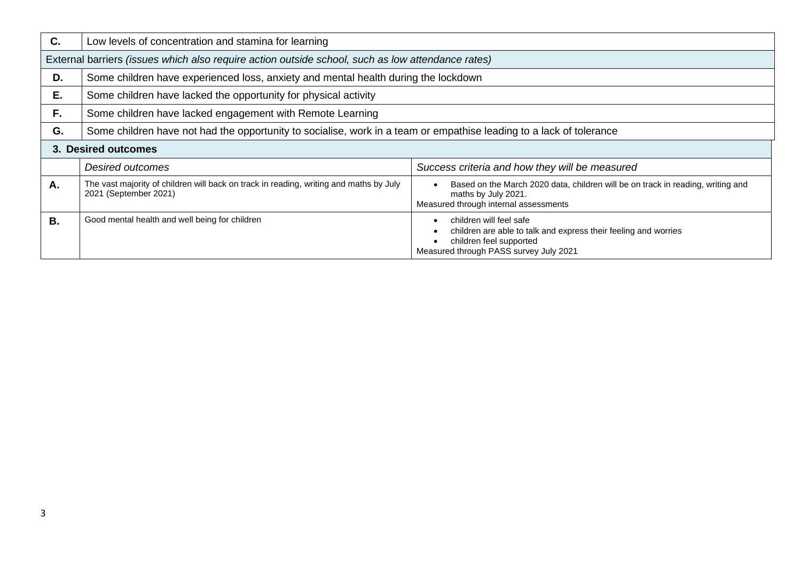| C. | Low levels of concentration and stamina for learning                                                                |                                                                                                                                                                 |  |  |  |  |  |
|----|---------------------------------------------------------------------------------------------------------------------|-----------------------------------------------------------------------------------------------------------------------------------------------------------------|--|--|--|--|--|
|    | External barriers (issues which also require action outside school, such as low attendance rates)                   |                                                                                                                                                                 |  |  |  |  |  |
| D. | Some children have experienced loss, anxiety and mental health during the lockdown                                  |                                                                                                                                                                 |  |  |  |  |  |
| Ε. | Some children have lacked the opportunity for physical activity                                                     |                                                                                                                                                                 |  |  |  |  |  |
| F. | Some children have lacked engagement with Remote Learning                                                           |                                                                                                                                                                 |  |  |  |  |  |
| G. | Some children have not had the opportunity to socialise, work in a team or empathise leading to a lack of tolerance |                                                                                                                                                                 |  |  |  |  |  |
|    | 3. Desired outcomes                                                                                                 |                                                                                                                                                                 |  |  |  |  |  |
|    | Desired outcomes                                                                                                    | Success criteria and how they will be measured                                                                                                                  |  |  |  |  |  |
| Α. | The vast majority of children will back on track in reading, writing and maths by July<br>2021 (September 2021)     | Based on the March 2020 data, children will be on track in reading, writing and<br>maths by July 2021.<br>Measured through internal assessments                 |  |  |  |  |  |
| В. | Good mental health and well being for children                                                                      | children will feel safe<br>children are able to talk and express their feeling and worries<br>children feel supported<br>Measured through PASS survey July 2021 |  |  |  |  |  |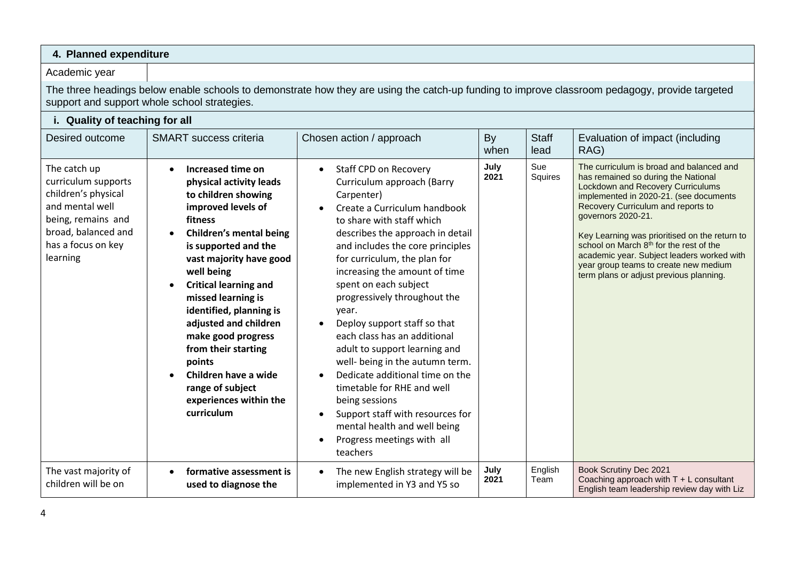#### **4. Planned expenditure**

#### Academic year

The three headings below enable schools to demonstrate how they are using the catch-up funding to improve classroom pedagogy, provide targeted support and support whole school strategies.

| i. Quality of teaching for all                                                                                                                               |                                                                                                                                                                                                                                                                                                                                                                                                                                                              |                                                                                                                                                                                                                                                                                                                                                                                                                                                                                                                                                                                                                                                                                                          |              |                      |                                                                                                                                                                                                                                                                                                                                                                                                                                                                             |
|--------------------------------------------------------------------------------------------------------------------------------------------------------------|--------------------------------------------------------------------------------------------------------------------------------------------------------------------------------------------------------------------------------------------------------------------------------------------------------------------------------------------------------------------------------------------------------------------------------------------------------------|----------------------------------------------------------------------------------------------------------------------------------------------------------------------------------------------------------------------------------------------------------------------------------------------------------------------------------------------------------------------------------------------------------------------------------------------------------------------------------------------------------------------------------------------------------------------------------------------------------------------------------------------------------------------------------------------------------|--------------|----------------------|-----------------------------------------------------------------------------------------------------------------------------------------------------------------------------------------------------------------------------------------------------------------------------------------------------------------------------------------------------------------------------------------------------------------------------------------------------------------------------|
| Desired outcome                                                                                                                                              | <b>SMART</b> success criteria                                                                                                                                                                                                                                                                                                                                                                                                                                | Chosen action / approach                                                                                                                                                                                                                                                                                                                                                                                                                                                                                                                                                                                                                                                                                 | By<br>when   | <b>Staff</b><br>lead | Evaluation of impact (including<br>RAG)                                                                                                                                                                                                                                                                                                                                                                                                                                     |
| The catch up<br>curriculum supports<br>children's physical<br>and mental well<br>being, remains and<br>broad, balanced and<br>has a focus on key<br>learning | Increased time on<br>physical activity leads<br>to children showing<br>improved levels of<br>fitness<br><b>Children's mental being</b><br>is supported and the<br>vast majority have good<br>well being<br><b>Critical learning and</b><br>missed learning is<br>identified, planning is<br>adjusted and children<br>make good progress<br>from their starting<br>points<br>Children have a wide<br>range of subject<br>experiences within the<br>curriculum | Staff CPD on Recovery<br>$\bullet$<br>Curriculum approach (Barry<br>Carpenter)<br>Create a Curriculum handbook<br>to share with staff which<br>describes the approach in detail<br>and includes the core principles<br>for curriculum, the plan for<br>increasing the amount of time<br>spent on each subject<br>progressively throughout the<br>year.<br>Deploy support staff so that<br>each class has an additional<br>adult to support learning and<br>well- being in the autumn term.<br>Dedicate additional time on the<br>timetable for RHE and well<br>being sessions<br>Support staff with resources for<br>$\bullet$<br>mental health and well being<br>Progress meetings with all<br>teachers | July<br>2021 | Sue<br>Squires       | The curriculum is broad and balanced and<br>has remained so during the National<br><b>Lockdown and Recovery Curriculums</b><br>implemented in 2020-21. (see documents<br>Recovery Curriculum and reports to<br>governors 2020-21.<br>Key Learning was prioritised on the return to<br>school on March 8 <sup>th</sup> for the rest of the<br>academic year. Subject leaders worked with<br>year group teams to create new medium<br>term plans or adjust previous planning. |
| The vast majority of<br>children will be on                                                                                                                  | formative assessment is<br>used to diagnose the                                                                                                                                                                                                                                                                                                                                                                                                              | The new English strategy will be<br>$\bullet$<br>implemented in Y3 and Y5 so                                                                                                                                                                                                                                                                                                                                                                                                                                                                                                                                                                                                                             | July<br>2021 | English<br>Team      | Book Scrutiny Dec 2021<br>Coaching approach with T + L consultant<br>English team leadership review day with Liz                                                                                                                                                                                                                                                                                                                                                            |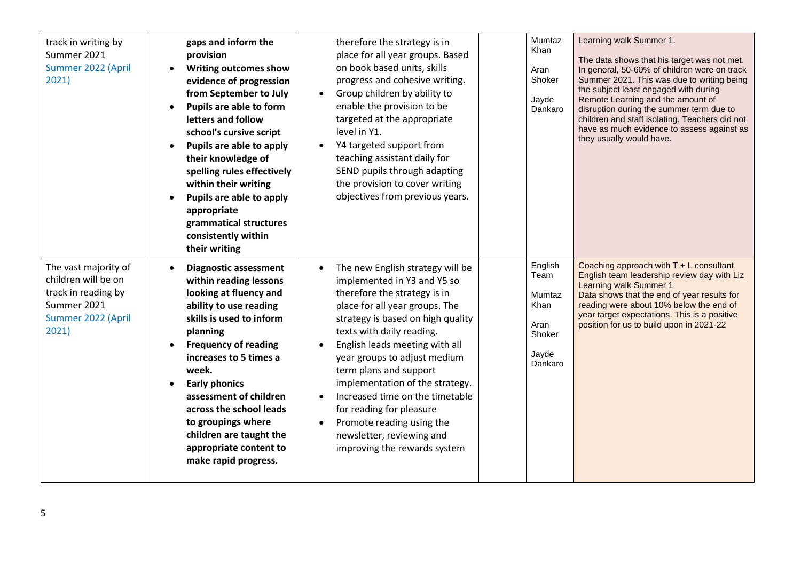| track in writing by<br>Summer 2021<br>Summer 2022 (April<br>2021)                                                | gaps and inform the<br>provision<br><b>Writing outcomes show</b><br>evidence of progression<br>from September to July<br>Pupils are able to form<br>letters and follow<br>school's cursive script<br>Pupils are able to apply<br>their knowledge of<br>spelling rules effectively<br>within their writing<br>Pupils are able to apply<br>appropriate<br>grammatical structures<br>consistently within<br>their writing | therefore the strategy is in<br>place for all year groups. Based<br>on book based units, skills<br>progress and cohesive writing.<br>Group children by ability to<br>$\bullet$<br>enable the provision to be<br>targeted at the appropriate<br>level in Y1.<br>Y4 targeted support from<br>teaching assistant daily for<br>SEND pupils through adapting<br>the provision to cover writing<br>objectives from previous years.                                                                | Mumtaz<br>Khan<br>Aran<br>Shoker<br>Jayde<br>Dankaro                           | Learning walk Summer 1.<br>The data shows that his target was not met.<br>In general, 50-60% of children were on track<br>Summer 2021. This was due to writing being<br>the subject least engaged with during<br>Remote Learning and the amount of<br>disruption during the summer term due to<br>children and staff isolating. Teachers did not<br>have as much evidence to assess against as<br>they usually would have. |
|------------------------------------------------------------------------------------------------------------------|------------------------------------------------------------------------------------------------------------------------------------------------------------------------------------------------------------------------------------------------------------------------------------------------------------------------------------------------------------------------------------------------------------------------|---------------------------------------------------------------------------------------------------------------------------------------------------------------------------------------------------------------------------------------------------------------------------------------------------------------------------------------------------------------------------------------------------------------------------------------------------------------------------------------------|--------------------------------------------------------------------------------|----------------------------------------------------------------------------------------------------------------------------------------------------------------------------------------------------------------------------------------------------------------------------------------------------------------------------------------------------------------------------------------------------------------------------|
| The vast majority of<br>children will be on<br>track in reading by<br>Summer 2021<br>Summer 2022 (April<br>2021) | <b>Diagnostic assessment</b><br>within reading lessons<br>looking at fluency and<br>ability to use reading<br>skills is used to inform<br>planning<br><b>Frequency of reading</b><br>increases to 5 times a<br>week.<br><b>Early phonics</b><br>assessment of children<br>across the school leads<br>to groupings where<br>children are taught the<br>appropriate content to<br>make rapid progress.                   | The new English strategy will be<br>implemented in Y3 and Y5 so<br>therefore the strategy is in<br>place for all year groups. The<br>strategy is based on high quality<br>texts with daily reading.<br>English leads meeting with all<br>year groups to adjust medium<br>term plans and support<br>implementation of the strategy.<br>Increased time on the timetable<br>for reading for pleasure<br>Promote reading using the<br>newsletter, reviewing and<br>improving the rewards system | English<br>Team<br>Mumtaz<br><b>Khan</b><br>Aran<br>Shoker<br>Jayde<br>Dankaro | Coaching approach with $T + L$ consultant<br>English team leadership review day with Liz<br>Learning walk Summer 1<br>Data shows that the end of year results for<br>reading were about 10% below the end of<br>year target expectations. This is a positive<br>position for us to build upon in 2021-22                                                                                                                   |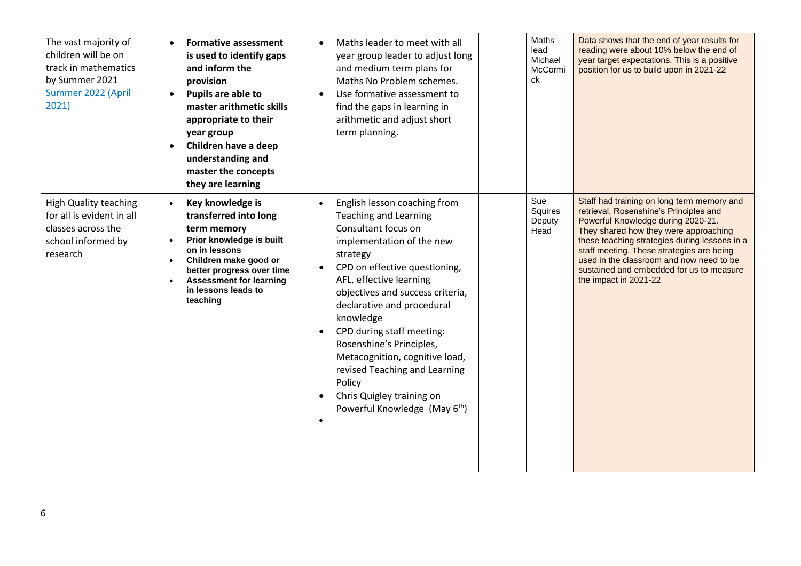| The vast majority of<br>children will be on<br>track in mathematics<br>by Summer 2021<br>Summer 2022 (April<br>2021) | <b>Formative assessment</b><br>is used to identify gaps<br>and inform the<br>provision<br>Pupils are able to<br>master arithmetic skills<br>appropriate to their<br>year group<br>Children have a deep<br>understanding and<br>master the concepts<br>they are learning | Maths leader to meet with all<br>year group leader to adjust long<br>and medium term plans for<br>Maths No Problem schemes.<br>Use formative assessment to<br>$\bullet$<br>find the gaps in learning in<br>arithmetic and adjust short<br>term planning.                                                                                                                                                                                                                                | Maths<br>lead<br>Michael<br>McCormi<br>ck | Data shows that the end of year results for<br>reading were about 10% below the end of<br>year target expectations. This is a positive<br>position for us to build upon in 2021-22                                                                                                                                                                                                 |
|----------------------------------------------------------------------------------------------------------------------|-------------------------------------------------------------------------------------------------------------------------------------------------------------------------------------------------------------------------------------------------------------------------|-----------------------------------------------------------------------------------------------------------------------------------------------------------------------------------------------------------------------------------------------------------------------------------------------------------------------------------------------------------------------------------------------------------------------------------------------------------------------------------------|-------------------------------------------|------------------------------------------------------------------------------------------------------------------------------------------------------------------------------------------------------------------------------------------------------------------------------------------------------------------------------------------------------------------------------------|
| <b>High Quality teaching</b><br>for all is evident in all<br>classes across the<br>school informed by<br>research    | Key knowledge is<br>transferred into long<br>term memory<br>Prior knowledge is built<br>on in lessons<br>Children make good or<br>$\bullet$<br>better progress over time<br><b>Assessment for learning</b><br>in lessons leads to<br>teaching                           | English lesson coaching from<br><b>Teaching and Learning</b><br>Consultant focus on<br>implementation of the new<br>strategy<br>CPD on effective questioning,<br>AFL, effective learning<br>objectives and success criteria,<br>declarative and procedural<br>knowledge<br>CPD during staff meeting:<br>Rosenshine's Principles,<br>Metacognition, cognitive load,<br>revised Teaching and Learning<br>Policy<br>Chris Quigley training on<br>Powerful Knowledge (May 6 <sup>th</sup> ) | Sue<br>Squires<br>Deputy<br>Head          | Staff had training on long term memory and<br>retrieval, Rosenshine's Principles and<br>Powerful Knowledge during 2020-21.<br>They shared how they were approaching<br>these teaching strategies during lessons in a<br>staff meeting. These strategies are being<br>used in the classroom and now need to be<br>sustained and embedded for us to measure<br>the impact in 2021-22 |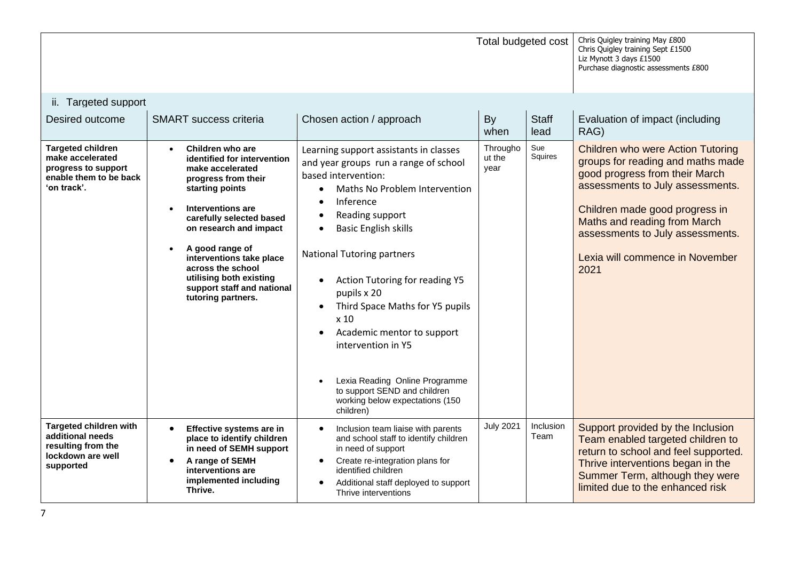|                                                                                                              |                                                                                                                                                                                                                                                                                                                                             |                                                                                                                                                                                                                                                                                                                                                                                                                                                                                                                                                                                       | Total budgeted cost        |                      | Chris Quigley training May £800<br>Chris Quigley training Sept £1500<br>Liz Mynott 3 days £1500<br>Purchase diagnostic assessments £800                                                                                                                                                                     |
|--------------------------------------------------------------------------------------------------------------|---------------------------------------------------------------------------------------------------------------------------------------------------------------------------------------------------------------------------------------------------------------------------------------------------------------------------------------------|---------------------------------------------------------------------------------------------------------------------------------------------------------------------------------------------------------------------------------------------------------------------------------------------------------------------------------------------------------------------------------------------------------------------------------------------------------------------------------------------------------------------------------------------------------------------------------------|----------------------------|----------------------|-------------------------------------------------------------------------------------------------------------------------------------------------------------------------------------------------------------------------------------------------------------------------------------------------------------|
| ii. Targeted support                                                                                         |                                                                                                                                                                                                                                                                                                                                             |                                                                                                                                                                                                                                                                                                                                                                                                                                                                                                                                                                                       |                            |                      |                                                                                                                                                                                                                                                                                                             |
| Desired outcome                                                                                              | <b>SMART</b> success criteria                                                                                                                                                                                                                                                                                                               | Chosen action / approach                                                                                                                                                                                                                                                                                                                                                                                                                                                                                                                                                              | <b>By</b><br>when          | <b>Staff</b><br>lead | Evaluation of impact (including<br>RAG)                                                                                                                                                                                                                                                                     |
| <b>Targeted children</b><br>make accelerated<br>progress to support<br>enable them to be back<br>'on track'. | Children who are<br>identified for intervention<br>make accelerated<br>progress from their<br>starting points<br>Interventions are<br>carefully selected based<br>on research and impact<br>A good range of<br>interventions take place<br>across the school<br>utilising both existing<br>support staff and national<br>tutoring partners. | Learning support assistants in classes<br>and year groups run a range of school<br>based intervention:<br>Maths No Problem Intervention<br>$\bullet$<br>Inference<br>$\bullet$<br>Reading support<br>$\bullet$<br><b>Basic English skills</b><br>$\bullet$<br><b>National Tutoring partners</b><br><b>Action Tutoring for reading Y5</b><br>$\bullet$<br>pupils x 20<br>Third Space Maths for Y5 pupils<br>x 10<br>Academic mentor to support<br>intervention in Y5<br>Lexia Reading Online Programme<br>to support SEND and children<br>working below expectations (150<br>children) | Througho<br>ut the<br>year | Sue<br>Squires       | <b>Children who were Action Tutoring</b><br>groups for reading and maths made<br>good progress from their March<br>assessments to July assessments.<br>Children made good progress in<br><b>Maths and reading from March</b><br>assessments to July assessments.<br>Lexia will commence in November<br>2021 |
| <b>Targeted children with</b><br>additional needs<br>resulting from the<br>lockdown are well<br>supported    | Effective systems are in<br>place to identify children<br>in need of SEMH support<br>A range of SEMH<br>interventions are<br>implemented including<br>Thrive.                                                                                                                                                                               | Inclusion team liaise with parents<br>and school staff to identify children<br>in need of support<br>Create re-integration plans for<br>identified children<br>Additional staff deployed to support<br>Thrive interventions                                                                                                                                                                                                                                                                                                                                                           | <b>July 2021</b>           | Inclusion<br>Team    | Support provided by the Inclusion<br>Team enabled targeted children to<br>return to school and feel supported.<br>Thrive interventions began in the<br>Summer Term, although they were<br>limited due to the enhanced risk                                                                                  |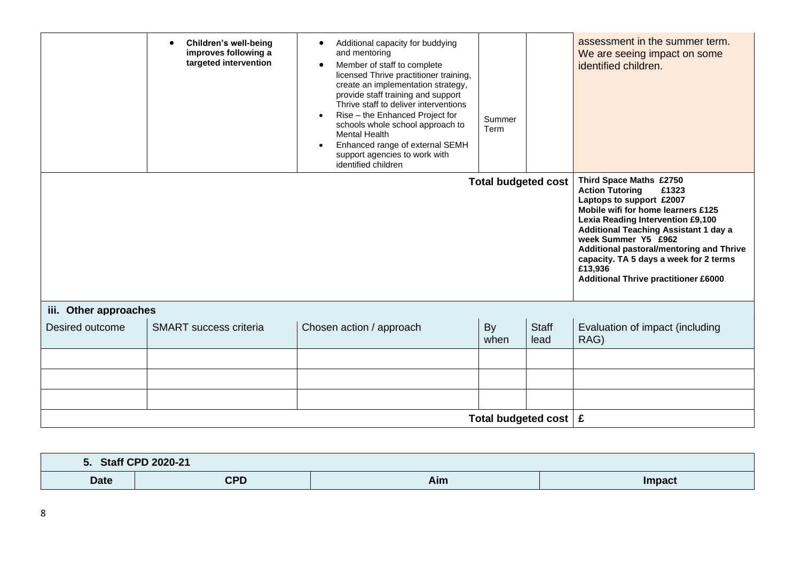|                       | <b>Children's well-being</b><br>improves following a<br>targeted intervention | Additional capacity for buddying<br>$\bullet$<br>and mentoring<br>Member of staff to complete<br>$\bullet$<br>licensed Thrive practitioner training,<br>create an implementation strategy,<br>provide staff training and support<br>Thrive staff to deliver interventions<br>Rise - the Enhanced Project for<br>$\bullet$<br>schools whole school approach to<br><b>Mental Health</b><br>Enhanced range of external SEMH<br>support agencies to work with<br>identified children | Summer<br>Term                   |                      | assessment in the summer term.<br>We are seeing impact on some<br>identified children.                                                                                                                                                                                                                                                                                                   |
|-----------------------|-------------------------------------------------------------------------------|----------------------------------------------------------------------------------------------------------------------------------------------------------------------------------------------------------------------------------------------------------------------------------------------------------------------------------------------------------------------------------------------------------------------------------------------------------------------------------|----------------------------------|----------------------|------------------------------------------------------------------------------------------------------------------------------------------------------------------------------------------------------------------------------------------------------------------------------------------------------------------------------------------------------------------------------------------|
|                       |                                                                               |                                                                                                                                                                                                                                                                                                                                                                                                                                                                                  | <b>Total budgeted cost</b>       |                      | Third Space Maths £2750<br><b>Action Tutoring</b><br>£1323<br>Laptops to support £2007<br>Mobile wifi for home learners £125<br>Lexia Reading Intervention £9,100<br><b>Additional Teaching Assistant 1 day a</b><br>week Summer Y5 £962<br>Additional pastoral/mentoring and Thrive<br>capacity. TA 5 days a week for 2 terms<br>£13,936<br><b>Additional Thrive practitioner £6000</b> |
| iii. Other approaches |                                                                               |                                                                                                                                                                                                                                                                                                                                                                                                                                                                                  |                                  |                      |                                                                                                                                                                                                                                                                                                                                                                                          |
| Desired outcome       | <b>SMART</b> success criteria                                                 | Chosen action / approach                                                                                                                                                                                                                                                                                                                                                                                                                                                         | <b>By</b><br>when                | <b>Staff</b><br>lead | Evaluation of impact (including<br>RAG)                                                                                                                                                                                                                                                                                                                                                  |
|                       |                                                                               |                                                                                                                                                                                                                                                                                                                                                                                                                                                                                  |                                  |                      |                                                                                                                                                                                                                                                                                                                                                                                          |
|                       |                                                                               |                                                                                                                                                                                                                                                                                                                                                                                                                                                                                  |                                  |                      |                                                                                                                                                                                                                                                                                                                                                                                          |
|                       |                                                                               |                                                                                                                                                                                                                                                                                                                                                                                                                                                                                  |                                  |                      |                                                                                                                                                                                                                                                                                                                                                                                          |
|                       |                                                                               |                                                                                                                                                                                                                                                                                                                                                                                                                                                                                  | Total budgeted cost $\mathbf{E}$ |                      |                                                                                                                                                                                                                                                                                                                                                                                          |

| <u>э.</u>   | <b>Staff CPD 2020-21</b> |     |               |
|-------------|--------------------------|-----|---------------|
| <b>Date</b> | rnn<br>ᇬ                 | Aim | <b>Impact</b> |